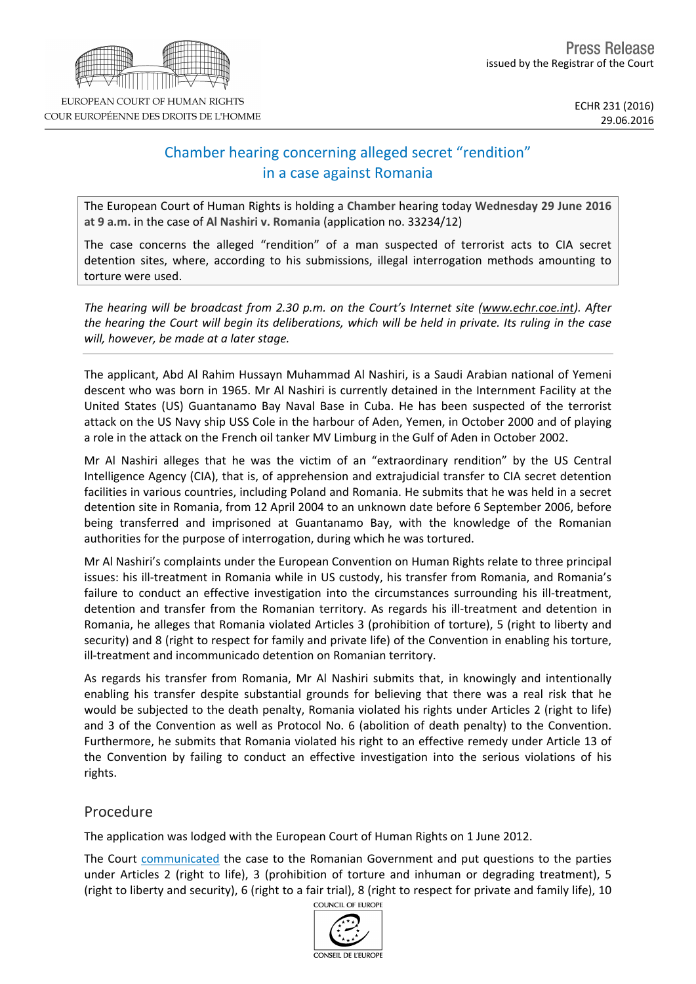# Chamber hearing concerning alleged secret "rendition" in a case against Romania

The European Court of Human Rights is holding a **Chamber** hearing today **Wednesday 29 June 2016 at 9 a.m.** in the case of **Al Nashiri v. Romania** (application no. 33234/12)

The case concerns the alleged "rendition" of a man suspected of terrorist acts to CIA secret detention sites, where, according to his submissions, illegal interrogation methods amounting to torture were used.

*The hearing will be broadcast from 2.30 p.m. on the Court's Internet site (www.echr.coe.int). After* the hearing the Court will begin its deliberations, which will be held in private. Its ruling in the case *will, however, be made at a later stage.*

The applicant, Abd Al Rahim Hussayn Muhammad Al Nashiri, is a Saudi Arabian national of Yemeni descent who was born in 1965. Mr Al Nashiri is currently detained in the Internment Facility at the United States (US) Guantanamo Bay Naval Base in Cuba. He has been suspected of the terrorist attack on the US Navy ship USS Cole in the harbour of Aden, Yemen, in October 2000 and of playing a role in the attack on the French oil tanker MV Limburg in the Gulf of Aden in October 2002.

Mr Al Nashiri alleges that he was the victim of an "extraordinary rendition" by the US Central Intelligence Agency (CIA), that is, of apprehension and extrajudicial transfer to CIA secret detention facilities in various countries, including Poland and Romania. He submits that he was held in a secret detention site in Romania, from 12 April 2004 to an unknown date before 6 September 2006, before being transferred and imprisoned at Guantanamo Bay, with the knowledge of the Romanian authorities for the purpose of interrogation, during which he was tortured.

Mr Al Nashiri's complaints under the European Convention on Human Rights relate to three principal issues: his ill-treatment in Romania while in US custody, his transfer from Romania, and Romania's failure to conduct an effective investigation into the circumstances surrounding his ill-treatment, detention and transfer from the Romanian territory. As regards his ill-treatment and detention in Romania, he alleges that Romania violated Articles 3 (prohibition of torture), 5 (right to liberty and security) and 8 (right to respect for family and private life) of the Convention in enabling his torture, ill-treatment and incommunicado detention on Romanian territory.

As regards his transfer from Romania, Mr Al Nashiri submits that, in knowingly and intentionally enabling his transfer despite substantial grounds for believing that there was a real risk that he would be subjected to the death penalty, Romania violated his rights under Articles 2 (right to life) and 3 of the Convention as well as Protocol No. 6 (abolition of death penalty) to the Convention. Furthermore, he submits that Romania violated his right to an effective remedy under Article 13 of the Convention by failing to conduct an effective investigation into the serious violations of his rights.

## Procedure

The application was lodged with the European Court of Human Rights on 1 June 2012.

The Court [communicated](http://hudoc.echr.coe.int/fre?i=001-113814) the case to the Romanian Government and put questions to the parties under Articles 2 (right to life), 3 (prohibition of torture and inhuman or degrading treatment), 5 (right to liberty and security), 6 (right to a fair trial), 8 (right to respect for private and family life), 10